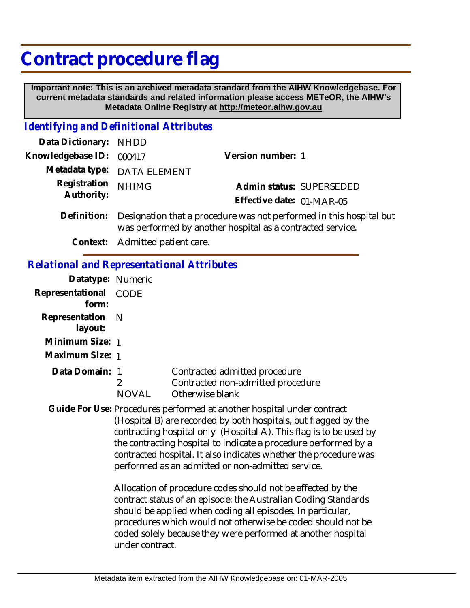## **Contract procedure flag**

 **Important note: This is an archived metadata standard from the AIHW Knowledgebase. For current metadata standards and related information please access METeOR, the AIHW's Metadata Online Registry at http://meteor.aihw.gov.au**

## *Identifying and Definitional Attributes*

| Data Dictionary: NHDD    |                                                                          |                           |                          |
|--------------------------|--------------------------------------------------------------------------|---------------------------|--------------------------|
| Knowledgebase ID: 000417 |                                                                          | Version number: 1         |                          |
|                          | Metadata type: DATA ELEMENT                                              |                           |                          |
| Registration NHIMG       |                                                                          |                           | Admin status: SUPERSEDED |
| Authority:               |                                                                          | Effective date: 01-MAR-05 |                          |
|                          | Definition: Designation that a procedure was not performed in this hosni |                           |                          |

Definition: Designation that a procedure was not performed in this hospital but was performed by another hospital as a contracted service.

**Context:** Admitted patient care.

## *Relational and Representational Attributes*

| Datatype: Numeric              |                                                                                       |
|--------------------------------|---------------------------------------------------------------------------------------|
| Representational CODE<br>form: |                                                                                       |
| Representation N<br>layout:    |                                                                                       |
| Minimum Size: 1                |                                                                                       |
| Maximum Size: 1                |                                                                                       |
| Data Domain: 1                 | Contracted admitted procedure<br>Contracted non-admitted procedure<br>Otherwise blank |

Guide For Use: Procedures performed at another hospital under contract (Hospital B) are recorded by both hospitals, but flagged by the contracting hospital only (Hospital A). This flag is to be used by the contracting hospital to indicate a procedure performed by a contracted hospital. It also indicates whether the procedure was performed as an admitted or non-admitted service.

> Allocation of procedure codes should not be affected by the contract status of an episode: the Australian Coding Standards should be applied when coding all episodes. In particular, procedures which would not otherwise be coded should not be coded solely because they were performed at another hospital under contract.